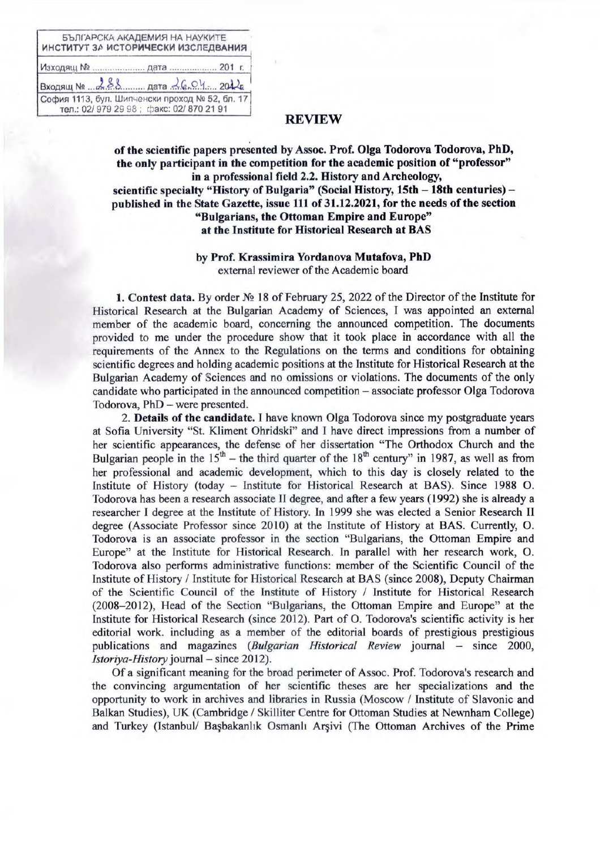| ИНСТИТУТ ЗА ИСТОРИЧЕСКИ ИЗСЛЕДВАНИЯ            | БЪЛГАРСКА АКАДЕМИЯ НА НАУКИТЕ            |  |
|------------------------------------------------|------------------------------------------|--|
|                                                |                                          |  |
| $BxOxByMwMw288$ para $26.04$ 2012              |                                          |  |
| София 1113, бул. Шипченски проход № 52, бл. 17 | тел.: 02/ 979 29 98; факс: 02/ 870 21 91 |  |

## **REVIEW**

of the scientific papers presented by Assoc. Prof. Olga Todorova Todorova, PhD, the only participant in the competition for the academic position of "professor" in a professional field 2.2. History and Archeology, scientific specialty "History of Bulgaria" (Social History, 15th – 18th centuries) – published in the State Gazette, issue 111 of 31,12,2021, for the needs of the section "Bulgarians, the Ottoman Empire and Europe" at the Institute for Historical Research at BAS

## by Prof. Krassimira Yordanova Mutafova, PhD external reviewer of the Academic board

1. Contest data. By order  $N_2$  18 of February 25, 2022 of the Director of the Institute for Historical Research at the Bulgarian Academy of Sciences, I was appointed an external member of the academic board, concerning the announced competition. The documents provided to me under the procedure show that it took place in accordance with all the requirements of the Annex to the Regulations on the terms and conditions for obtaining scientific degrees and holding academic positions at the Institute for Historical Research at the Bulgarian Academy of Sciences and no omissions or violations. The documents of the only candidate who participated in the announced competition – associate professor Olga Todorova Todorova, PhD - were presented.

2. Details of the candidate. I have known Olga Todorova since my postgraduate years at Sofia University "St. Kliment Ohridski" and I have direct impressions from a number of her scientific appearances, the defense of her dissertation "The Orthodox Church and the Bulgarian people in the  $15^{th}$  – the third quarter of the  $18^{th}$  century" in 1987, as well as from her professional and academic development, which to this day is closely related to the Institute of History (today – Institute for Historical Research at BAS). Since 1988 O. Todorova has been a research associate II degree, and after a few years (1992) she is already a researcher I degree at the Institute of History. In 1999 she was elected a Senior Research II degree (Associate Professor since 2010) at the Institute of History at BAS. Currently, O. Todorova is an associate professor in the section "Bulgarians, the Ottoman Empire and Europe" at the Institute for Historical Research. In parallel with her research work, O. Todorova also performs administrative functions: member of the Scientific Council of the Institute of History / Institute for Historical Research at BAS (since 2008), Deputy Chairman of the Scientific Council of the Institute of History / Institute for Historical Research (2008–2012), Head of the Section "Bulgarians, the Ottoman Empire and Europe" at the Institute for Historical Research (since 2012). Part of O. Todorova's scientific activity is her editorial work. including as a member of the editorial boards of prestigious prestigious publications and magazines (Bulgarian Historical Review journal – since 2000, Istoriya-History journal - since 2012).

Of a significant meaning for the broad perimeter of Assoc. Prof. Todorova's research and the convincing argumentation of her scientific theses are her specializations and the opportunity to work in archives and libraries in Russia (Moscow / Institute of Slavonic and Balkan Studies), UK (Cambridge / Skilliter Centre for Ottoman Studies at Newnham College) and Turkey (Istanbul/ Basbakanlık Osmanlı Arsivi (The Ottoman Archives of the Prime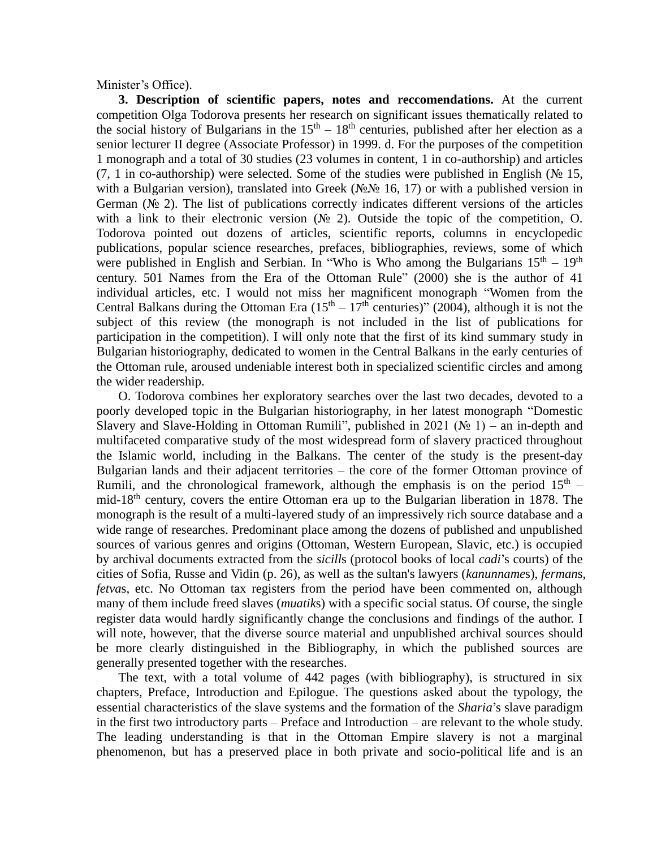Minister's Office).

**3. Description of scientific papers, notes and reccomendations.** At the current competition Olga Todorova presents her research on significant issues thematically related to the social history of Bulgarians in the  $15<sup>th</sup> - 18<sup>th</sup>$  centuries, published after her election as a senior lecturer II degree (Associate Professor) in 1999. d. For the purposes of the competition 1 monograph and a total of 30 studies (23 volumes in content, 1 in co-authorship) and articles (7, 1 in co-authorship) were selected. Some of the studies were published in English ( $N_2$  15, with a Bulgarian version), translated into Greek ( $N\square N\square$  16, 17) or with a published version in German ( $\mathcal{N}_2$ ). The list of publications correctly indicates different versions of the articles with a link to their electronic version ( $\mathcal{N}$  2). Outside the topic of the competition, O. Todorova pointed out dozens of articles, scientific reports, columns in encyclopedic publications, popular science researches, prefaces, bibliographies, reviews, some of which were published in English and Serbian. In "Who is Who among the Bulgarians  $15<sup>th</sup> - 19<sup>th</sup>$ century. 501 Names from the Era of the Ottoman Rule" (2000) she is the author of 41 individual articles, etc. I would not miss her magnificent monograph "Women from the Central Balkans during the Ottoman Era  $(15<sup>th</sup> – 17<sup>th</sup>$  centuries)" (2004), although it is not the subject of this review (the monograph is not included in the list of publications for participation in the competition). I will only note that the first of its kind summary study in Bulgarian historiography, dedicated to women in the Central Balkans in the early centuries of the Ottoman rule, aroused undeniable interest both in specialized scientific circles and among the wider readership.

O. Todorova combines her exploratory searches over the last two decades, devoted to a poorly developed topic in the Bulgarian historiography, in her latest monograph "Domestic Slavery and Slave-Holding in Ottoman Rumili", published in 2021 ( $\mathcal{N}_2$  1) – an in-depth and multifaceted comparative study of the most widespread form of slavery practiced throughout the Islamic world, including in the Balkans. The center of the study is the present-day Bulgarian lands and their adjacent territories – the core of the former Ottoman province of Rumili, and the chronological framework, although the emphasis is on the period  $15<sup>th</sup>$  mid-18<sup>th</sup> century, covers the entire Ottoman era up to the Bulgarian liberation in 1878. The monograph is the result of a multi-layered study of an impressively rich source database and a wide range of researches. Predominant place among the dozens of published and unpublished sources of various genres and origins (Ottoman, Western European, Slavic, etc.) is occupied by archival documents extracted from the *sicill*s (protocol books of local *cadi*'s courts) of the cities of Sofia, Russe and Vidin (p. 26), as well as the sultan's lawyers (*kanunname*s), *ferman*s, *fetva*s, etc. No Ottoman tax registers from the period have been commented on, although many of them include freed slaves (*muatik*s) with a specific social status. Of course, the single register data would hardly significantly change the conclusions and findings of the author. I will note, however, that the diverse source material and unpublished archival sources should be more clearly distinguished in the Bibliography, in which the published sources are generally presented together with the researches.

The text, with a total volume of 442 pages (with bibliography), is structured in six chapters, Preface, Introduction and Epilogue. The questions asked about the typology, the essential characteristics of the slave systems and the formation of the *Sharia*'s slave paradigm in the first two introductory parts – Preface and Introduction – are relevant to the whole study. The leading understanding is that in the Ottoman Empire slavery is not a marginal phenomenon, but has a preserved place in both private and socio-political life and is an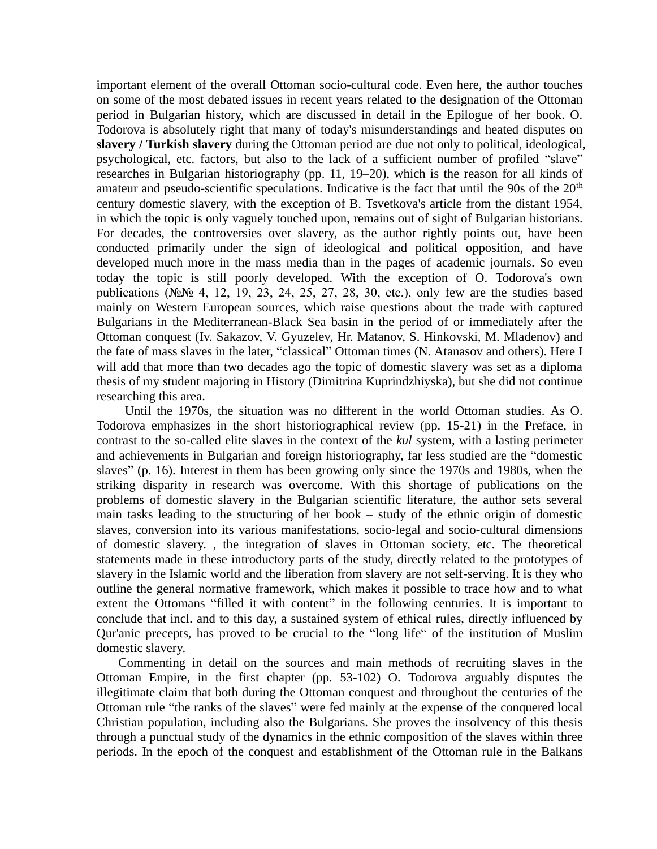important element of the overall Ottoman socio-cultural code. Even here, the author touches on some of the most debated issues in recent years related to the designation of the Ottoman period in Bulgarian history, which are discussed in detail in the Epilogue of her book. O. Todorova is absolutely right that many of today's misunderstandings and heated disputes on **slavery / Turkish slavery** during the Ottoman period are due not only to political, ideological, psychological, etc. factors, but also to the lack of a sufficient number of profiled "slave" researches in Bulgarian historiography (pp. 11, 19–20), which is the reason for all kinds of amateur and pseudo-scientific speculations. Indicative is the fact that until the 90s of the  $20<sup>th</sup>$ century domestic slavery, with the exception of B. Tsvetkova's article from the distant 1954, in which the topic is only vaguely touched upon, remains out of sight of Bulgarian historians. For decades, the controversies over slavery, as the author rightly points out, have been conducted primarily under the sign of ideological and political opposition, and have developed much more in the mass media than in the pages of academic journals. So even today the topic is still poorly developed. With the exception of O. Todorova's own publications (№№ 4, 12, 19, 23, 24, 25, 27, 28, 30, etc.), only few are the studies based mainly on Western European sources, which raise questions about the trade with captured Bulgarians in the Mediterranean-Black Sea basin in the period of or immediately after the Ottoman conquest (Iv. Sakazov, V. Gyuzelev, Hr. Matanov, S. Hinkovski, M. Mladenov) and the fate of mass slaves in the later, "classical" Ottoman times (N. Atanasov and others). Here I will add that more than two decades ago the topic of domestic slavery was set as a diploma thesis of my student majoring in History (Dimitrina Kuprindzhiyska), but she did not continue researching this area.

Until the 1970s, the situation was no different in the world Ottoman studies. As O. Todorova emphasizes in the short historiographical review (pp. 15-21) in the Preface, in contrast to the so-called elite slaves in the context of the *kul* system, with a lasting perimeter and achievements in Bulgarian and foreign historiography, far less studied are the "domestic slaves" (p. 16). Interest in them has been growing only since the 1970s and 1980s, when the striking disparity in research was overcome. With this shortage of publications on the problems of domestic slavery in the Bulgarian scientific literature, the author sets several main tasks leading to the structuring of her book – study of the ethnic origin of domestic slaves, conversion into its various manifestations, socio-legal and socio-cultural dimensions of domestic slavery. , the integration of slaves in Ottoman society, etc. The theoretical statements made in these introductory parts of the study, directly related to the prototypes of slavery in the Islamic world and the liberation from slavery are not self-serving. It is they who outline the general normative framework, which makes it possible to trace how and to what extent the Ottomans "filled it with content" in the following centuries. It is important to conclude that incl. and to this day, a sustained system of ethical rules, directly influenced by Qur'anic precepts, has proved to be crucial to the "long life" of the institution of Muslim domestic slavery.

Commenting in detail on the sources and main methods of recruiting slaves in the Ottoman Empire, in the first chapter (pp. 53-102) O. Todorova arguably disputes the illegitimate claim that both during the Ottoman conquest and throughout the centuries of the Ottoman rule "the ranks of the slaves" were fed mainly at the expense of the conquered local Christian population, including also the Bulgarians. She proves the insolvency of this thesis through a punctual study of the dynamics in the ethnic composition of the slaves within three periods. In the epoch of the conquest and establishment of the Ottoman rule in the Balkans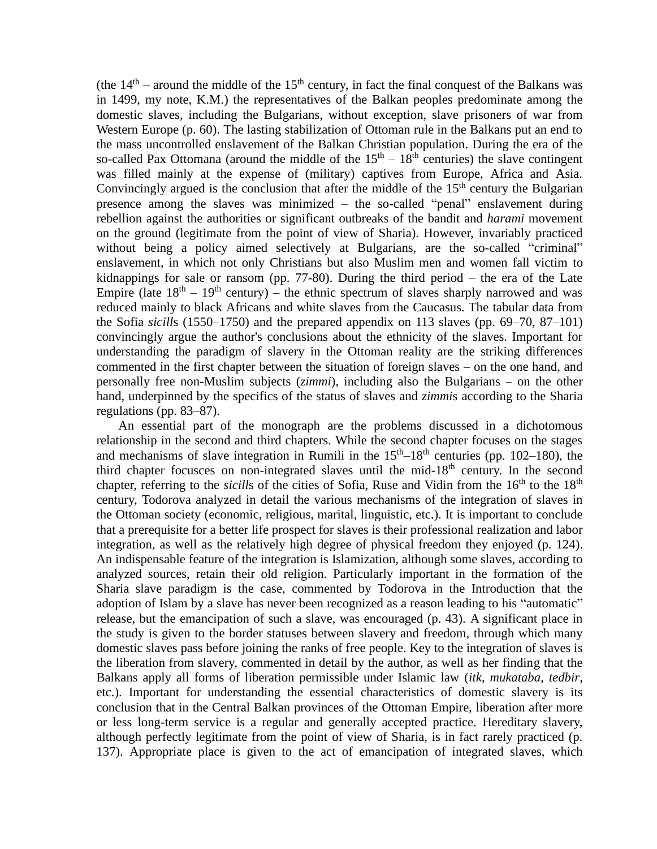(the  $14<sup>th</sup>$  – around the middle of the  $15<sup>th</sup>$  century, in fact the final conquest of the Balkans was in 1499, my note, K.M.) the representatives of the Balkan peoples predominate among the domestic slaves, including the Bulgarians, without exception, slave prisoners of war from Western Europe (p. 60). The lasting stabilization of Ottoman rule in the Balkans put an end to the mass uncontrolled enslavement of the Balkan Christian population. During the era of the so-called Pax Ottomana (around the middle of the  $15<sup>th</sup> - 18<sup>th</sup>$  centuries) the slave contingent was filled mainly at the expense of (military) captives from Europe, Africa and Asia. Convincingly argued is the conclusion that after the middle of the  $15<sup>th</sup>$  century the Bulgarian presence among the slaves was minimized – the so-called "penal" enslavement during rebellion against the authorities or significant outbreaks of the bandit and *harami* movement on the ground (legitimate from the point of view of Sharia). However, invariably practiced without being a policy aimed selectively at Bulgarians, are the so-called "criminal" enslavement, in which not only Christians but also Muslim men and women fall victim to kidnappings for sale or ransom (pp.  $77-80$ ). During the third period – the era of the Late Empire (late  $18<sup>th</sup> - 19<sup>th</sup>$  century) – the ethnic spectrum of slaves sharply narrowed and was reduced mainly to black Africans and white slaves from the Caucasus. The tabular data from the Sofia *sicill*s (1550–1750) and the prepared appendix on 113 slaves (pp. 69–70, 87–101) convincingly argue the author's conclusions about the ethnicity of the slaves. Important for understanding the paradigm of slavery in the Ottoman reality are the striking differences commented in the first chapter between the situation of foreign slaves – on the one hand, and personally free non-Muslim subjects (*zimmi*), including also the Bulgarians – on the other hand, underpinned by the specifics of the status of slaves and *zimmi*s according to the Sharia regulations (pp. 83–87).

An essential part of the monograph are the problems discussed in a dichotomous relationship in the second and third chapters. While the second chapter focuses on the stages and mechanisms of slave integration in Rumili in the  $15<sup>th</sup>-18<sup>th</sup>$  centuries (pp. 102–180), the third chapter focusces on non-integrated slaves until the mid-18<sup>th</sup> century. In the second chapter, referring to the *sicills* of the cities of Sofia, Ruse and Vidin from the 16<sup>th</sup> to the 18<sup>th</sup> century, Todorova analyzed in detail the various mechanisms of the integration of slaves in the Ottoman society (economic, religious, marital, linguistic, etc.). It is important to conclude that a prerequisite for a better life prospect for slaves is their professional realization and labor integration, as well as the relatively high degree of physical freedom they enjoyed (p. 124). An indispensable feature of the integration is Islamization, although some slaves, according to analyzed sources, retain their old religion. Particularly important in the formation of the Sharia slave paradigm is the case, commented by Todorova in the Introduction that the adoption of Islam by a slave has never been recognized as a reason leading to his "automatic" release, but the emancipation of such a slave, was encouraged (p. 43). A significant place in the study is given to the border statuses between slavery and freedom, through which many domestic slaves pass before joining the ranks of free people. Key to the integration of slaves is the liberation from slavery, commented in detail by the author, as well as her finding that the Balkans apply all forms of liberation permissible under Islamic law (*itk*, *mukataba*, *tedbir*, etc.). Important for understanding the essential characteristics of domestic slavery is its conclusion that in the Central Balkan provinces of the Ottoman Empire, liberation after more or less long-term service is a regular and generally accepted practice. Hereditary slavery, although perfectly legitimate from the point of view of Sharia, is in fact rarely practiced (p. 137). Appropriate place is given to the act of emancipation of integrated slaves, which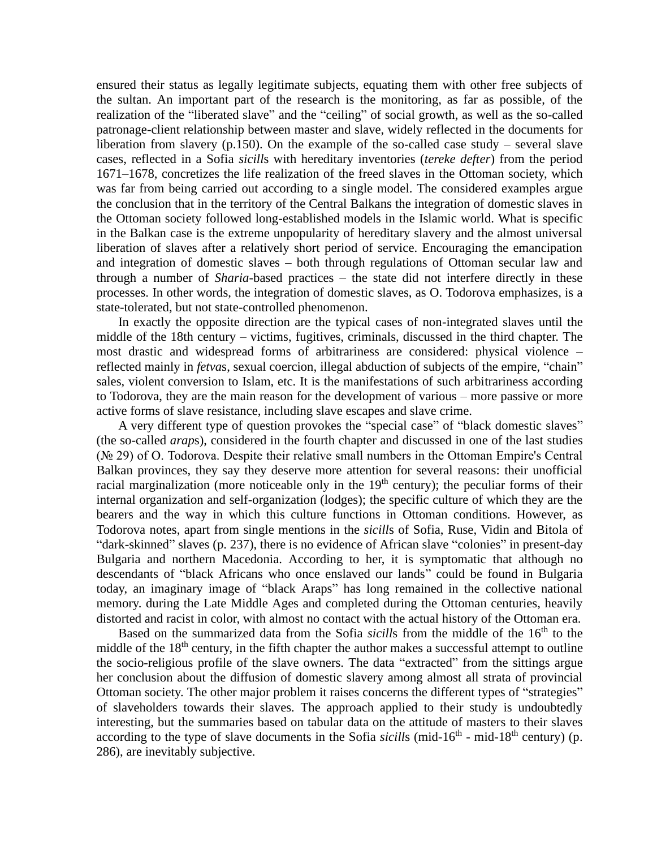ensured their status as legally legitimate subjects, equating them with other free subjects of the sultan. An important part of the research is the monitoring, as far as possible, of the realization of the "liberated slave" and the "ceiling" of social growth, as well as the so-called patronage-client relationship between master and slave, widely reflected in the documents for liberation from slavery (p.150). On the example of the so-called case study – several slave cases, reflected in a Sofia *sicill*s with hereditary inventories (*tereke defter*) from the period 1671–1678, concretizes the life realization of the freed slaves in the Ottoman society, which was far from being carried out according to a single model. The considered examples argue the conclusion that in the territory of the Central Balkans the integration of domestic slaves in the Ottoman society followed long-established models in the Islamic world. What is specific in the Balkan case is the extreme unpopularity of hereditary slavery and the almost universal liberation of slaves after a relatively short period of service. Encouraging the emancipation and integration of domestic slaves – both through regulations of Ottoman secular law and through a number of *Sharia*-based practices – the state did not interfere directly in these processes. In other words, the integration of domestic slaves, as O. Todorova emphasizes, is a state-tolerated, but not state-controlled phenomenon.

In exactly the opposite direction are the typical cases of non-integrated slaves until the middle of the 18th century – victims, fugitives, criminals, discussed in the third chapter. The most drastic and widespread forms of arbitrariness are considered: physical violence – reflected mainly in *fetva*s, sexual coercion, illegal abduction of subjects of the empire, "chain" sales, violent conversion to Islam, etc. It is the manifestations of such arbitrariness according to Todorova, they are the main reason for the development of various – more passive or more active forms of slave resistance, including slave escapes and slave crime.

A very different type of question provokes the "special case" of "black domestic slaves" (the so-called *arap*s), considered in the fourth chapter and discussed in one of the last studies (№ 29) of O. Todorova. Despite their relative small numbers in the Ottoman Empire's Central Balkan provinces, they say they deserve more attention for several reasons: their unofficial racial marginalization (more noticeable only in the  $19<sup>th</sup>$  century); the peculiar forms of their internal organization and self-organization (lodges); the specific culture of which they are the bearers and the way in which this culture functions in Ottoman conditions. However, as Todorova notes, apart from single mentions in the *sicill*s of Sofia, Ruse, Vidin and Bitola of "dark-skinned" slaves (p. 237), there is no evidence of African slave "colonies" in present-day Bulgaria and northern Macedonia. According to her, it is symptomatic that although no descendants of "black Africans who once enslaved our lands" could be found in Bulgaria today, an imaginary image of "black Araps" has long remained in the collective national memory. during the Late Middle Ages and completed during the Ottoman centuries, heavily distorted and racist in color, with almost no contact with the actual history of the Ottoman era.

Based on the summarized data from the Sofia *sicills* from the middle of the 16<sup>th</sup> to the middle of the  $18<sup>th</sup>$  century, in the fifth chapter the author makes a successful attempt to outline the socio-religious profile of the slave owners. The data "extracted" from the sittings argue her conclusion about the diffusion of domestic slavery among almost all strata of provincial Ottoman society. The other major problem it raises concerns the different types of "strategies" of slaveholders towards their slaves. The approach applied to their study is undoubtedly interesting, but the summaries based on tabular data on the attitude of masters to their slaves according to the type of slave documents in the Sofia *sicills* (mid-16<sup>th</sup> - mid-18<sup>th</sup> century) (p. 286), are inevitably subjective.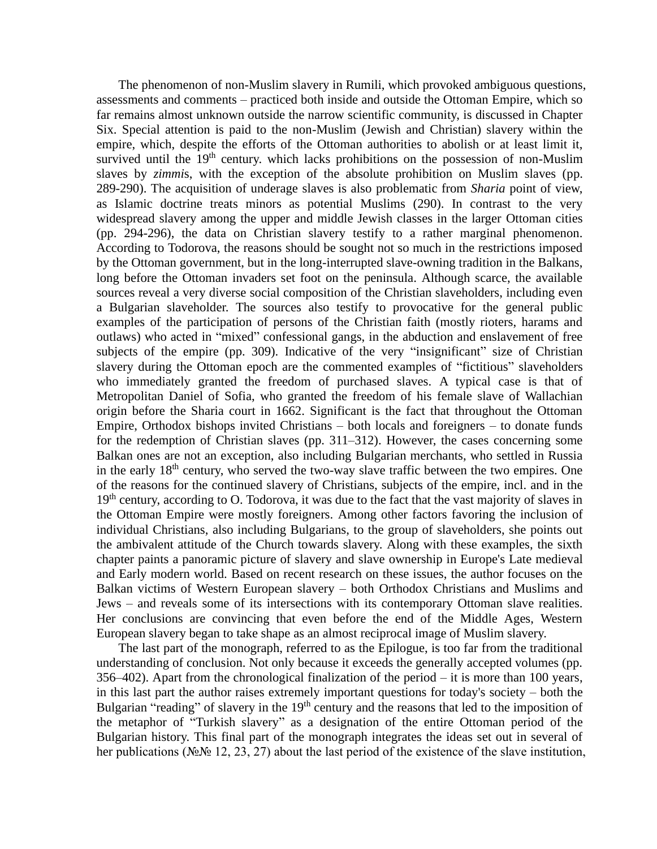The phenomenon of non-Muslim slavery in Rumili, which provoked ambiguous questions, assessments and comments – practiced both inside and outside the Ottoman Empire, which so far remains almost unknown outside the narrow scientific community, is discussed in Chapter Six. Special attention is paid to the non-Muslim (Jewish and Christian) slavery within the empire, which, despite the efforts of the Ottoman authorities to abolish or at least limit it, survived until the  $19<sup>th</sup>$  century. which lacks prohibitions on the possession of non-Muslim slaves by *zimmi*s, with the exception of the absolute prohibition on Muslim slaves (pp. 289-290). The acquisition of underage slaves is also problematic from *Sharia* point of view, as Islamic doctrine treats minors as potential Muslims (290). In contrast to the very widespread slavery among the upper and middle Jewish classes in the larger Ottoman cities (pp. 294-296), the data on Christian slavery testify to a rather marginal phenomenon. According to Todorova, the reasons should be sought not so much in the restrictions imposed by the Ottoman government, but in the long-interrupted slave-owning tradition in the Balkans, long before the Ottoman invaders set foot on the peninsula. Although scarce, the available sources reveal a very diverse social composition of the Christian slaveholders, including even a Bulgarian slaveholder. The sources also testify to provocative for the general public examples of the participation of persons of the Christian faith (mostly rioters, harams and outlaws) who acted in "mixed" confessional gangs, in the abduction and enslavement of free subjects of the empire (pp. 309). Indicative of the very "insignificant" size of Christian slavery during the Ottoman epoch are the commented examples of "fictitious" slaveholders who immediately granted the freedom of purchased slaves. A typical case is that of Metropolitan Daniel of Sofia, who granted the freedom of his female slave of Wallachian origin before the Sharia court in 1662. Significant is the fact that throughout the Ottoman Empire, Orthodox bishops invited Christians – both locals and foreigners – to donate funds for the redemption of Christian slaves (pp. 311–312). However, the cases concerning some Balkan ones are not an exception, also including Bulgarian merchants, who settled in Russia in the early  $18<sup>th</sup>$  century, who served the two-way slave traffic between the two empires. One of the reasons for the continued slavery of Christians, subjects of the empire, incl. and in the 19<sup>th</sup> century, according to O. Todorova, it was due to the fact that the vast majority of slaves in the Ottoman Empire were mostly foreigners. Among other factors favoring the inclusion of individual Christians, also including Bulgarians, to the group of slaveholders, she points out the ambivalent attitude of the Church towards slavery. Along with these examples, the sixth chapter paints a panoramic picture of slavery and slave ownership in Europe's Late medieval and Early modern world. Based on recent research on these issues, the author focuses on the Balkan victims of Western European slavery – both Orthodox Christians and Muslims and Jews – and reveals some of its intersections with its contemporary Ottoman slave realities. Her conclusions are convincing that even before the end of the Middle Ages, Western European slavery began to take shape as an almost reciprocal image of Muslim slavery.

The last part of the monograph, referred to as the Epilogue, is too far from the traditional understanding of conclusion. Not only because it exceeds the generally accepted volumes (pp. 356–402). Apart from the chronological finalization of the period – it is more than 100 years, in this last part the author raises extremely important questions for today's society – both the Bulgarian "reading" of slavery in the 19<sup>th</sup> century and the reasons that led to the imposition of the metaphor of "Turkish slavery" as a designation of the entire Ottoman period of the Bulgarian history. This final part of the monograph integrates the ideas set out in several of her publications (№№ 12, 23, 27) about the last period of the existence of the slave institution,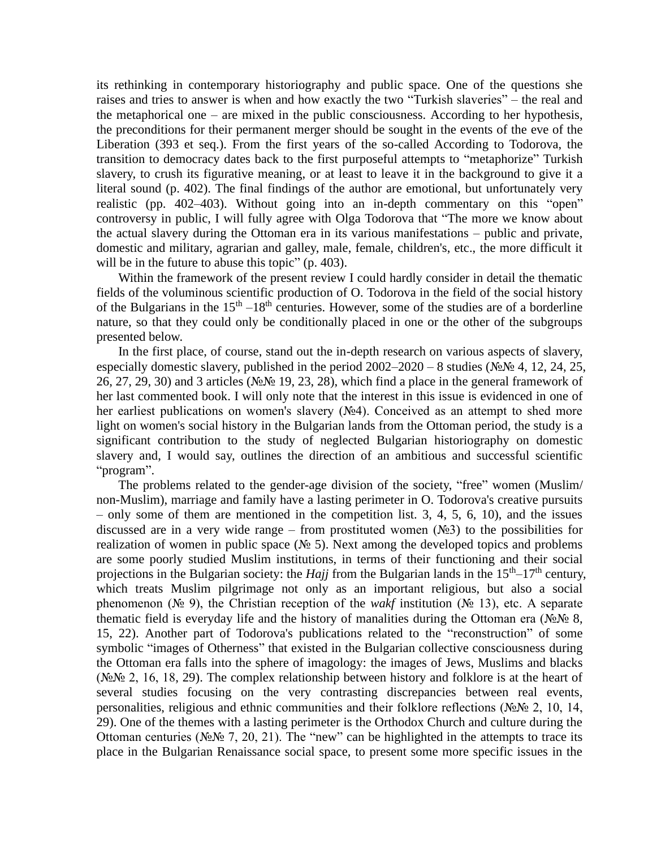its rethinking in contemporary historiography and public space. One of the questions she raises and tries to answer is when and how exactly the two "Turkish slaveries" – the real and the metaphorical one – are mixed in the public consciousness. According to her hypothesis, the preconditions for their permanent merger should be sought in the events of the eve of the Liberation (393 et seq.). From the first years of the so-called According to Todorova, the transition to democracy dates back to the first purposeful attempts to "metaphorize" Turkish slavery, to crush its figurative meaning, or at least to leave it in the background to give it a literal sound (p. 402). The final findings of the author are emotional, but unfortunately very realistic (pp. 402–403). Without going into an in-depth commentary on this "open" controversy in public, I will fully agree with Olga Todorova that "The more we know about the actual slavery during the Ottoman era in its various manifestations – public and private, domestic and military, agrarian and galley, male, female, children's, etc., the more difficult it will be in the future to abuse this topic" (p. 403).

Within the framework of the present review I could hardly consider in detail the thematic fields of the voluminous scientific production of O. Todorova in the field of the social history of the Bulgarians in the  $15<sup>th</sup> - 18<sup>th</sup>$  centuries. However, some of the studies are of a borderline nature, so that they could only be conditionally placed in one or the other of the subgroups presented below.

In the first place, of course, stand out the in-depth research on various aspects of slavery, especially domestic slavery, published in the period  $2002-2020-8$  studies ( $N_2N_2$  4, 12, 24, 25, 26, 27, 29, 30) and 3 articles (№№ 19, 23, 28), which find a place in the general framework of her last commented book. I will only note that the interest in this issue is evidenced in one of her earliest publications on women's slavery (№4). Conceived as an attempt to shed more light on women's social history in the Bulgarian lands from the Ottoman period, the study is a significant contribution to the study of neglected Bulgarian historiography on domestic slavery and, I would say, outlines the direction of an ambitious and successful scientific "program".

The problems related to the gender-age division of the society, "free" women (Muslim/ non-Muslim), marriage and family have a lasting perimeter in O. Todorova's creative pursuits – only some of them are mentioned in the competition list. 3, 4, 5, 6, 10), and the issues discussed are in a very wide range – from prostituted women  $(N<sub>2</sub>3)$  to the possibilities for realization of women in public space ( $N<sub>2</sub>$  5). Next among the developed topics and problems are some poorly studied Muslim institutions, in terms of their functioning and their social projections in the Bulgarian society: the *Hajj* from the Bulgarian lands in the  $15<sup>th</sup>-17<sup>th</sup>$  century, which treats Muslim pilgrimage not only as an important religious, but also a social phenomenon (№ 9), the Christian reception of the *wakf* institution (№ 13), etc. A separate thematic field is everyday life and the history of manalities during the Ottoman era ( $N \Omega \& R$ , 15, 22). Another part of Todorova's publications related to the "reconstruction" of some symbolic "images of Otherness" that existed in the Bulgarian collective consciousness during the Ottoman era falls into the sphere of imagology: the images of Jews, Muslims and blacks ( $N<sub>2</sub>N<sub>2</sub>$  2, 16, 18, 29). The complex relationship between history and folklore is at the heart of several studies focusing on the very contrasting discrepancies between real events, personalities, religious and ethnic communities and their folklore reflections (№№ 2, 10, 14, 29). One of the themes with a lasting perimeter is the Orthodox Church and culture during the Ottoman centuries (№№ 7, 20, 21). The "new" can be highlighted in the attempts to trace its place in the Bulgarian Renaissance social space, to present some more specific issues in the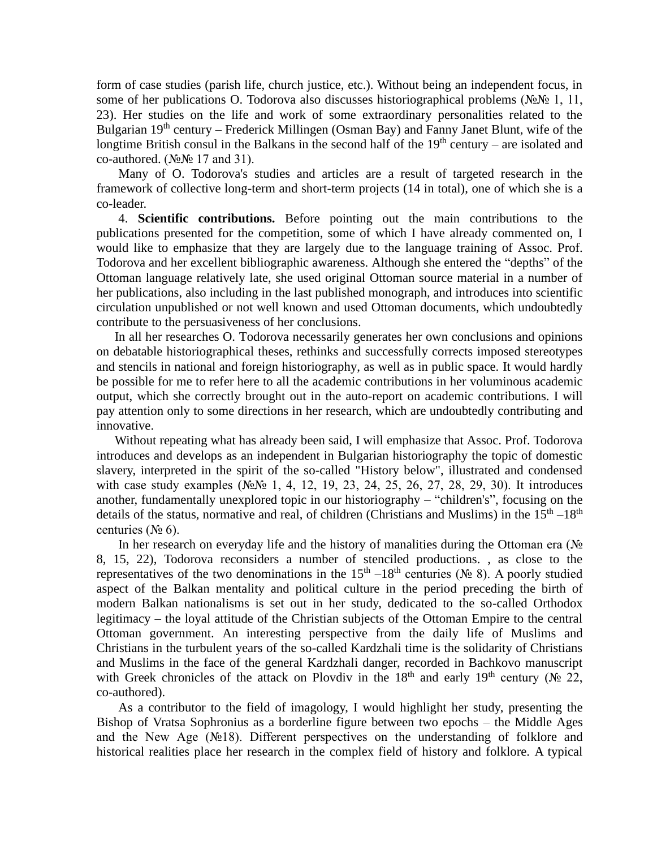form of case studies (parish life, church justice, etc.). Without being an independent focus, in some of her publications O. Todorova also discusses historiographical problems (№№ 1, 11, 23). Her studies on the life and work of some extraordinary personalities related to the Bulgarian 19<sup>th</sup> century – Frederick Millingen (Osman Bay) and Fanny Janet Blunt, wife of the longtime British consul in the Balkans in the second half of the  $19<sup>th</sup>$  century – are isolated and co-authored. (№№ 17 and 31).

Many of O. Todorova's studies and articles are a result of targeted research in the framework of collective long-term and short-term projects (14 in total), one of which she is a co-leader.

4. **Scientific contributions.** Before pointing out the main contributions to the publications presented for the competition, some of which I have already commented on, I would like to emphasize that they are largely due to the language training of Assoc. Prof. Todorova and her excellent bibliographic awareness. Although she entered the "depths" of the Ottoman language relatively late, she used original Ottoman source material in a number of her publications, also including in the last published monograph, and introduces into scientific circulation unpublished or not well known and used Ottoman documents, which undoubtedly contribute to the persuasiveness of her conclusions.

In all her researches O. Todorova necessarily generates her own conclusions and opinions on debatable historiographical theses, rethinks and successfully corrects imposed stereotypes and stencils in national and foreign historiography, as well as in public space. It would hardly be possible for me to refer here to all the academic contributions in her voluminous academic output, which she correctly brought out in the auto-report on academic contributions. I will pay attention only to some directions in her research, which are undoubtedly contributing and innovative.

Without repeating what has already been said, I will emphasize that Assoc. Prof. Todorova introduces and develops as an independent in Bulgarian historiography the topic of domestic slavery, interpreted in the spirit of the so-called "History below", illustrated and condensed with case study examples (№№ 1, 4, 12, 19, 23, 24, 25, 26, 27, 28, 29, 30). It introduces another, fundamentally unexplored topic in our historiography – "children's", focusing on the details of the status, normative and real, of children (Christians and Muslims) in the  $15<sup>th</sup> - 18<sup>th</sup>$ centuries ( $N<sub>2</sub>$  6).

In her research on everyday life and the history of manalities during the Ottoman era (№ 8, 15, 22), Todorova reconsiders a number of stenciled productions. , as close to the representatives of the two denominations in the  $15<sup>th</sup> - 18<sup>th</sup>$  centuries ( $N_2$  8). A poorly studied aspect of the Balkan mentality and political culture in the period preceding the birth of modern Balkan nationalisms is set out in her study, dedicated to the so-called Orthodox legitimacy – the loyal attitude of the Christian subjects of the Ottoman Empire to the central Ottoman government. An interesting perspective from the daily life of Muslims and Christians in the turbulent years of the so-called Kardzhali time is the solidarity of Christians and Muslims in the face of the general Kardzhali danger, recorded in Bachkovo manuscript with Greek chronicles of the attack on Plovdiv in the 18<sup>th</sup> and early 19<sup>th</sup> century ( $\mathcal{N}_2$  22, co-authored).

As a contributor to the field of imagology, I would highlight her study, presenting the Bishop of Vratsa Sophronius as a borderline figure between two epochs – the Middle Ages and the New Age (№18). Different perspectives on the understanding of folklore and historical realities place her research in the complex field of history and folklore. A typical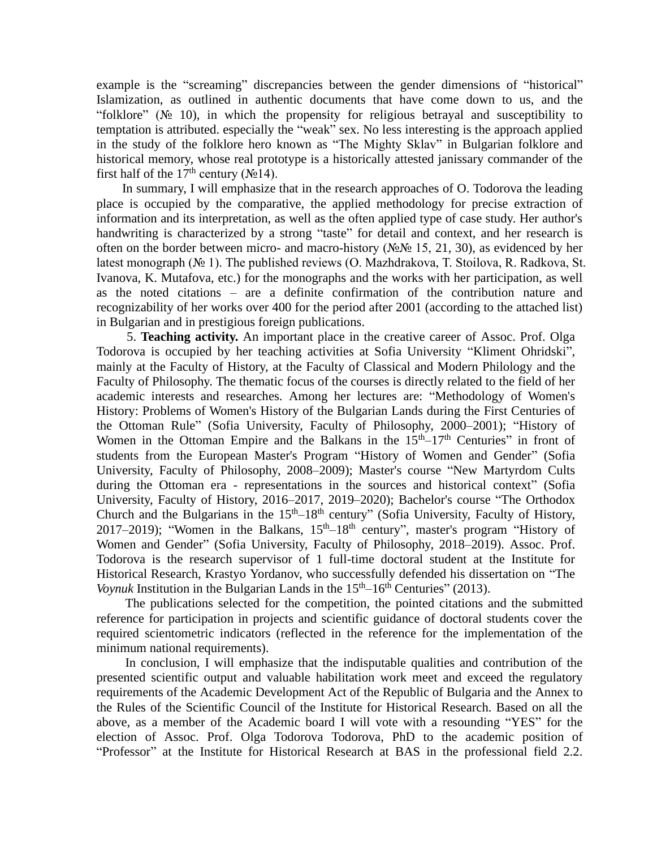example is the "screaming" discrepancies between the gender dimensions of "historical" Islamization, as outlined in authentic documents that have come down to us, and the "folklore" (№ 10), in which the propensity for religious betrayal and susceptibility to temptation is attributed. especially the "weak" sex. No less interesting is the approach applied in the study of the folklore hero known as "The Mighty Sklav" in Bulgarian folklore and historical memory, whose real prototype is a historically attested janissary commander of the first half of the 17<sup>th</sup> century ( $N_2$ 14).

In summary, I will emphasize that in the research approaches of O. Todorova the leading place is occupied by the comparative, the applied methodology for precise extraction of information and its interpretation, as well as the often applied type of case study. Her author's handwriting is characterized by a strong "taste" for detail and context, and her research is often on the border between micro- and macro-history ( $\mathcal{N}\subseteq\mathcal{N}\subseteq$  15, 21, 30), as evidenced by her latest monograph (№ 1). The published reviews (O. Mazhdrakova, T. Stoilova, R. Radkova, St. Ivanova, K. Mutafova, etc.) for the monographs and the works with her participation, as well as the noted citations – are a definite confirmation of the contribution nature and recognizability of her works over 400 for the period after 2001 (according to the attached list) in Bulgarian and in prestigious foreign publications.

5. **Teaching activity.** An important place in the creative career of Assoc. Prof. Olga Todorova is occupied by her teaching activities at Sofia University "Kliment Ohridski", mainly at the Faculty of History, at the Faculty of Classical and Modern Philology and the Faculty of Philosophy. The thematic focus of the courses is directly related to the field of her academic interests and researches. Among her lectures are: "Methodology of Women's History: Problems of Women's History of the Bulgarian Lands during the First Centuries of the Ottoman Rule" (Sofia University, Faculty of Philosophy, 2000–2001); "History of Women in the Ottoman Empire and the Balkans in the  $15<sup>th</sup>-17<sup>th</sup>$  Centuries" in front of students from the European Master's Program "History of Women and Gender" (Sofia University, Faculty of Philosophy, 2008–2009); Master's course "New Martyrdom Cults during the Ottoman era - representations in the sources and historical context" (Sofia University, Faculty of History, 2016–2017, 2019–2020); Bachelor's course "The Orthodox Church and the Bulgarians in the  $15<sup>th</sup>-18<sup>th</sup>$  century" (Sofia University, Faculty of History, 2017–2019); "Women in the Balkans,  $15<sup>th</sup> - 18<sup>th</sup>$  century", master's program "History of Women and Gender" (Sofia University, Faculty of Philosophy, 2018–2019). Assoc. Prof. Todorova is the research supervisor of 1 full-time doctoral student at the Institute for Historical Research, Krastyo Yordanov, who successfully defended his dissertation on "The *Voynuk* Institution in the Bulgarian Lands in the  $15<sup>th</sup> - 16<sup>th</sup>$  Centuries" (2013).

The publications selected for the competition, the pointed citations and the submitted reference for participation in projects and scientific guidance of doctoral students cover the required scientometric indicators (reflected in the reference for the implementation of the minimum national requirements).

In conclusion, I will emphasize that the indisputable qualities and contribution of the presented scientific output and valuable habilitation work meet and exceed the regulatory requirements of the Academic Development Act of the Republic of Bulgaria and the Annex to the Rules of the Scientific Council of the Institute for Historical Research. Based on all the above, as a member of the Academic board I will vote with a resounding "YES" for the election of Assoc. Prof. Olga Todorova Todorova, PhD to the academic position of "Professor" at the Institute for Historical Research at BAS in the professional field 2.2.